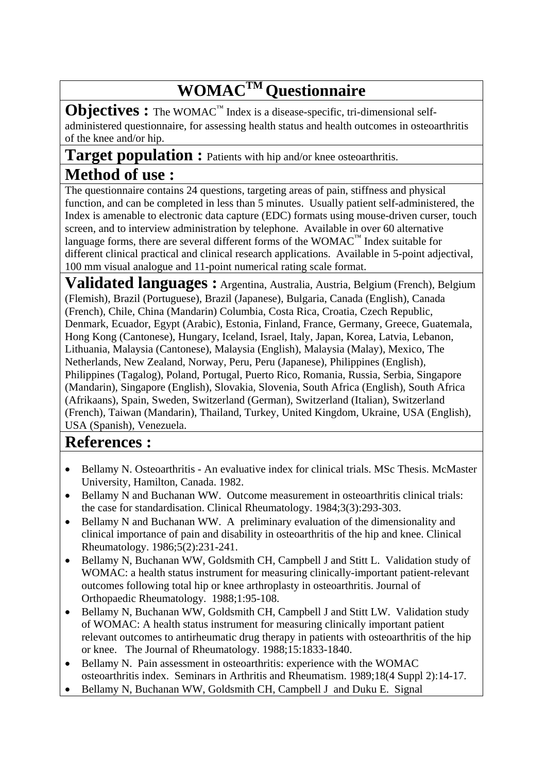## **WOMACTM Questionnaire**

**Objectives :** The WOMAC<sup>™</sup> Index is a disease-specific, tri-dimensional selfadministered questionnaire, for assessing health status and health outcomes in osteoarthritis of the knee and/or hip.

## Target population : Patients with hip and/or knee osteoarthritis. **Method of use :**

The questionnaire contains 24 questions, targeting areas of pain, stiffness and physical function, and can be completed in less than 5 minutes. Usually patient self-administered, the Index is amenable to electronic data capture (EDC) formats using mouse-driven curser, touch screen, and to interview administration by telephone. Available in over 60 alternative language forms, there are several different forms of the WOMAC<sup>™</sup> Index suitable for different clinical practical and clinical research applications. Available in 5-point adjectival, 100 mm visual analogue and 11-point numerical rating scale format.

**Validated languages :** Argentina, Australia, Austria, Belgium (French), Belgium (Flemish), Brazil (Portuguese), Brazil (Japanese), Bulgaria, Canada (English), Canada (French), Chile, China (Mandarin) Columbia, Costa Rica, Croatia, Czech Republic, Denmark, Ecuador, Egypt (Arabic), Estonia, Finland, France, Germany, Greece, Guatemala, Hong Kong (Cantonese), Hungary, Iceland, Israel, Italy, Japan, Korea, Latvia, Lebanon, Lithuania, Malaysia (Cantonese), Malaysia (English), Malaysia (Malay), Mexico, The Netherlands, New Zealand, Norway, Peru, Peru (Japanese), Philippines (English), Philippines (Tagalog), Poland, Portugal, Puerto Rico, Romania, Russia, Serbia, Singapore (Mandarin), Singapore (English), Slovakia, Slovenia, South Africa (English), South Africa (Afrikaans), Spain, Sweden, Switzerland (German), Switzerland (Italian), Switzerland (French), Taiwan (Mandarin), Thailand, Turkey, United Kingdom, Ukraine, USA (English), USA (Spanish), Venezuela.

## **References :**

- Bellamy N. Osteoarthritis An evaluative index for clinical trials. MSc Thesis. McMaster University, Hamilton, Canada. 1982.
- Bellamy N and Buchanan WW. Outcome measurement in osteoarthritis clinical trials: the case for standardisation. Clinical Rheumatology. 1984;3(3):293-303.
- Bellamy N and Buchanan WW. A preliminary evaluation of the dimensionality and clinical importance of pain and disability in osteoarthritis of the hip and knee. Clinical Rheumatology. 1986;5(2):231-241.
- Bellamy N, Buchanan WW, Goldsmith CH, Campbell J and Stitt L. Validation study of WOMAC: a health status instrument for measuring clinically-important patient-relevant outcomes following total hip or knee arthroplasty in osteoarthritis. Journal of Orthopaedic Rheumatology. 1988;1:95-108.
- Bellamy N, Buchanan WW, Goldsmith CH, Campbell J and Stitt LW. Validation study of WOMAC: A health status instrument for measuring clinically important patient relevant outcomes to antirheumatic drug therapy in patients with osteoarthritis of the hip or knee. The Journal of Rheumatology. 1988;15:1833-1840.
- Bellamy N. Pain assessment in osteoarthritis: experience with the WOMAC osteoarthritis index. Seminars in Arthritis and Rheumatism. 1989;18(4 Suppl 2):14-17.
- Bellamy N, Buchanan WW, Goldsmith CH, Campbell J and Duku E. Signal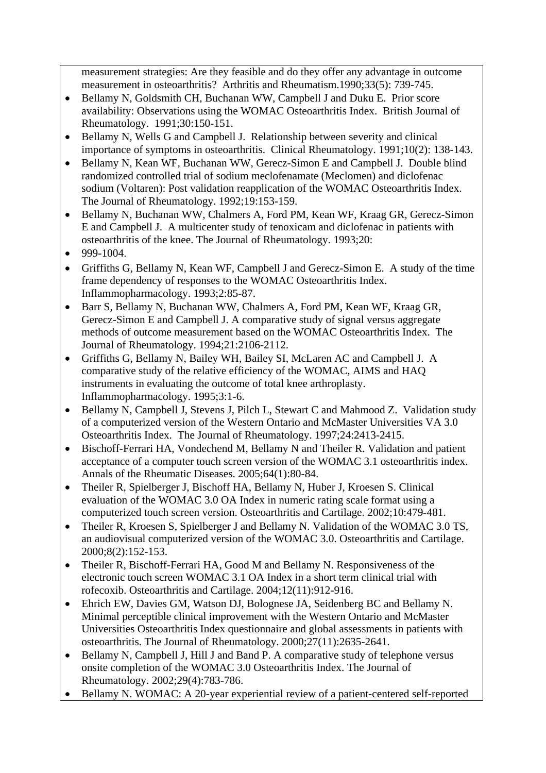measurement strategies: Are they feasible and do they offer any advantage in outcome measurement in osteoarthritis? Arthritis and Rheumatism.1990;33(5): 739-745.

- Bellamy N, Goldsmith CH, Buchanan WW, Campbell J and Duku E. Prior score availability: Observations using the WOMAC Osteoarthritis Index. British Journal of Rheumatology. 1991;30:150-151.
- Bellamy N, Wells G and Campbell J. Relationship between severity and clinical importance of symptoms in osteoarthritis. Clinical Rheumatology. 1991;10(2): 138-143.
- Bellamy N, Kean WF, Buchanan WW, Gerecz-Simon E and Campbell J. Double blind randomized controlled trial of sodium meclofenamate (Meclomen) and diclofenac sodium (Voltaren): Post validation reapplication of the WOMAC Osteoarthritis Index. The Journal of Rheumatology. 1992;19:153-159.
- Bellamy N, Buchanan WW, Chalmers A, Ford PM, Kean WF, Kraag GR, Gerecz-Simon E and Campbell J. A multicenter study of tenoxicam and diclofenac in patients with osteoarthritis of the knee. The Journal of Rheumatology. 1993;20:
- $•$  999-1004.
- Griffiths G, Bellamy N, Kean WF, Campbell J and Gerecz-Simon E. A study of the time frame dependency of responses to the WOMAC Osteoarthritis Index. Inflammopharmacology. 1993;2:85-87.
- Barr S, Bellamy N, Buchanan WW, Chalmers A, Ford PM, Kean WF, Kraag GR, Gerecz-Simon E and Campbell J. A comparative study of signal versus aggregate methods of outcome measurement based on the WOMAC Osteoarthritis Index. The Journal of Rheumatology. 1994;21:2106-2112.
- Griffiths G, Bellamy N, Bailey WH, Bailey SI, McLaren AC and Campbell J. A comparative study of the relative efficiency of the WOMAC, AIMS and HAQ instruments in evaluating the outcome of total knee arthroplasty. Inflammopharmacology. 1995;3:1-6.
- Bellamy N, Campbell J, Stevens J, Pilch L, Stewart C and Mahmood Z. Validation study of a computerized version of the Western Ontario and McMaster Universities VA 3.0 Osteoarthritis Index. The Journal of Rheumatology. 1997;24:2413-2415.
- Bischoff-Ferrari HA, Vondechend M, Bellamy N and Theiler R. Validation and patient acceptance of a computer touch screen version of the WOMAC 3.1 osteoarthritis index. Annals of the Rheumatic Diseases. 2005;64(1):80-84.
- Theiler R, Spielberger J, Bischoff HA, Bellamy N, Huber J, Kroesen S, Clinical evaluation of the WOMAC 3.0 OA Index in numeric rating scale format using a computerized touch screen version. Osteoarthritis and Cartilage. 2002;10:479-481.
- Theiler R, Kroesen S, Spielberger J and Bellamy N. Validation of the WOMAC 3.0 TS, an audiovisual computerized version of the WOMAC 3.0. Osteoarthritis and Cartilage. 2000;8(2):152-153.
- Theiler R, Bischoff-Ferrari HA, Good M and Bellamy N. Responsiveness of the electronic touch screen WOMAC 3.1 OA Index in a short term clinical trial with rofecoxib. Osteoarthritis and Cartilage. 2004;12(11):912-916.
- Ehrich EW, Davies GM, Watson DJ, Bolognese JA, Seidenberg BC and Bellamy N. Minimal perceptible clinical improvement with the Western Ontario and McMaster Universities Osteoarthritis Index questionnaire and global assessments in patients with osteoarthritis. The Journal of Rheumatology. 2000;27(11):2635-2641.
- Bellamy N, Campbell J, Hill J and Band P. A comparative study of telephone versus onsite completion of the WOMAC 3.0 Osteoarthritis Index. The Journal of Rheumatology. 2002;29(4):783-786.
- Bellamy N. WOMAC: A 20-year experiential review of a patient-centered self-reported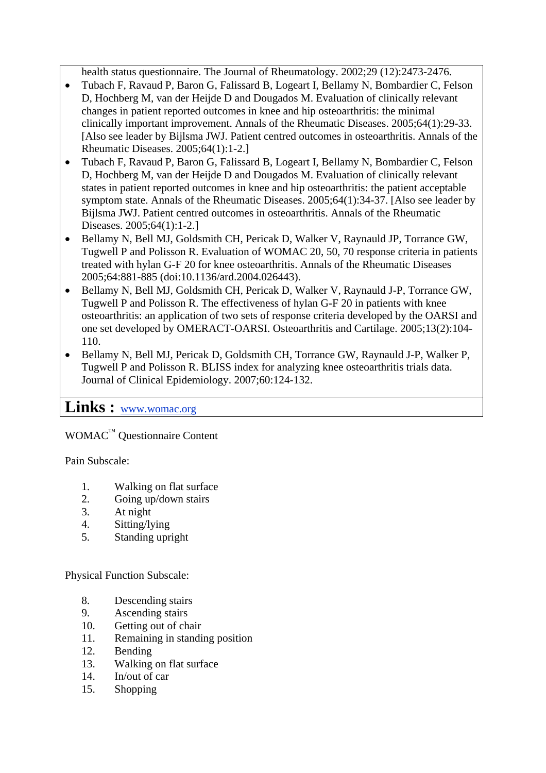health status questionnaire. The Journal of Rheumatology. 2002;29 (12):2473-2476.

- Tubach F, Ravaud P, Baron G, Falissard B, Logeart I, Bellamy N, Bombardier C, Felson D, Hochberg M, van der Heijde D and Dougados M. Evaluation of clinically relevant changes in patient reported outcomes in knee and hip osteoarthritis: the minimal clinically important improvement. Annals of the Rheumatic Diseases. 2005;64(1):29-33. [Also see leader by Bijlsma JWJ. Patient centred outcomes in osteoarthritis. Annals of the Rheumatic Diseases. 2005;64(1):1-2.]
- Tubach F, Ravaud P, Baron G, Falissard B, Logeart I, Bellamy N, Bombardier C, Felson D, Hochberg M, van der Heijde D and Dougados M. Evaluation of clinically relevant states in patient reported outcomes in knee and hip osteoarthritis: the patient acceptable symptom state. Annals of the Rheumatic Diseases. 2005;64(1):34-37. [Also see leader by Bijlsma JWJ. Patient centred outcomes in osteoarthritis. Annals of the Rheumatic Diseases. 2005;64(1):1-2.]
- Bellamy N, Bell MJ, Goldsmith CH, Pericak D, Walker V, Raynauld JP, Torrance GW, Tugwell P and Polisson R. Evaluation of WOMAC 20, 50, 70 response criteria in patients treated with hylan G-F 20 for knee osteoarthritis. Annals of the Rheumatic Diseases 2005;64:881-885 (doi:10.1136/ard.2004.026443).
- Bellamy N, Bell MJ, Goldsmith CH, Pericak D, Walker V, Raynauld J-P, Torrance GW, Tugwell P and Polisson R. The effectiveness of hylan G-F 20 in patients with knee osteoarthritis: an application of two sets of response criteria developed by the OARSI and one set developed by OMERACT-OARSI. Osteoarthritis and Cartilage. 2005;13(2):104- 110.
- Bellamy N, Bell MJ, Pericak D, Goldsmith CH, Torrance GW, Raynauld J-P, Walker P, Tugwell P and Polisson R. BLISS index for analyzing knee osteoarthritis trials data. Journal of Clinical Epidemiology. 2007;60:124-132.

## **Links :** [www.womac.org](http://www.womac.org/)

WOMAC<sup>™</sup> Questionnaire Content

Pain Subscale:

- 1. Walking on flat surface
- 2. Going up/down stairs
- 3. At night
- 4. Sitting/lying
- 5. Standing upright

Physical Function Subscale:

- 8. Descending stairs
- 9. Ascending stairs
- 10. Getting out of chair
- 11. Remaining in standing position
- 12. Bending
- 13. Walking on flat surface
- 14. In/out of car
- 15. Shopping